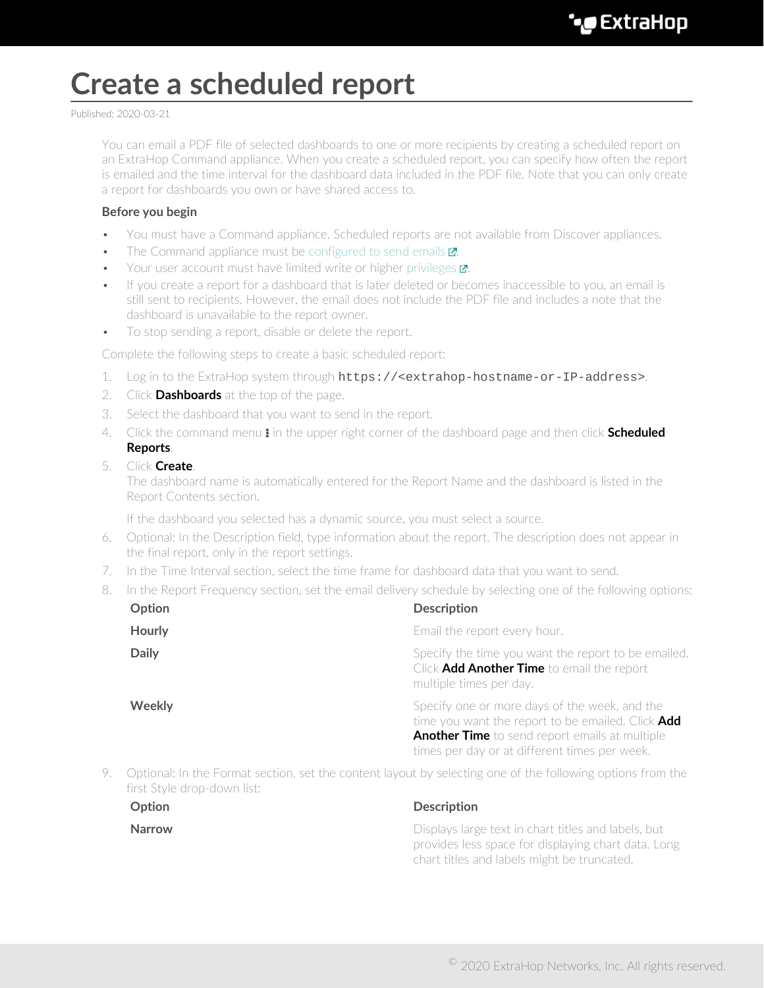# **Create a scheduled report**

Published: 2020-03-21

You can email a PDF file of selected dashboards to one or more recipients by creating a scheduled report on an ExtraHop Command appliance. When you create a scheduled report, you can specify how often the report is emailed and the time interval for the dashboard data included in the PDF file. Note that you can only create a report for dashboards you own or have shared access to.

## **Before you begin**

- You must have a Command appliance. Scheduled reports are not available from Discover appliances.
- The Command appliance must be configured to send emails  $\mathbf{Z}$ .
- Your user account must have limited write or higher privileges **r.**
- If you create a report for a dashboard that is later deleted or becomes inaccessible to you, an email is still sent to recipients. However, the email does not include the PDF file and includes a note that the dashboard is unavailable to the report owner.
- To stop sending a report, disable or delete the report.

Complete the following steps to create a basic scheduled report:

- 1. Log in to the ExtraHop system through https://<extrahop-hostname-or-IP-address>.
- 2. Click **Dashboards** at the top of the page.
- 3. Select the dashboard that you want to send in the report.
- 4. Click the command menu **i** in the upper right corner of the dashboard page and then click **Scheduled Reports**.

### 5. Click **Create**.

The dashboard name is automatically entered for the Report Name and the dashboard is listed in the Report Contents section.

If the dashboard you selected has a dynamic source, you must select a source.

- 6. Optional: In the Description field, type information about the report. The description does not appear in the final report, only in the report settings.
- 7. In the Time Interval section, select the time frame for dashboard data that you want to send.
- 8. In the Report Frequency section, set the email delivery schedule by selecting one of the following options:

| Option                                                                                                    | <b>Description</b>                                                                                                                                                                                           |
|-----------------------------------------------------------------------------------------------------------|--------------------------------------------------------------------------------------------------------------------------------------------------------------------------------------------------------------|
| <b>Hourly</b>                                                                                             | Email the report every hour.                                                                                                                                                                                 |
| <b>Daily</b>                                                                                              | Specify the time you want the report to be emailed.<br>Click <b>Add Another Time</b> to email the report<br>multiple times per day.                                                                          |
| <b>Weekly</b>                                                                                             | Specify one or more days of the week, and the<br>time you want the report to be emailed. Click Add<br><b>Another Time</b> to send report emails at multiple<br>times per day or at different times per week. |
| Optional: In the Format section set the content layout by selecting one of the following options from the |                                                                                                                                                                                                              |

9. Optional: In the Format section, set the content layout by selecting one of the following options from the first Style drop-down list:

| <b>Option</b> | Description                                                                                                                                               |
|---------------|-----------------------------------------------------------------------------------------------------------------------------------------------------------|
| Narrow        | Displays large text in chart titles and labels, but<br>provides less space for displaying chart data. Long<br>chart titles and labels might be truncated. |

### <sup>©</sup> 2020 ExtraHop Networks, Inc. All rights reserved.